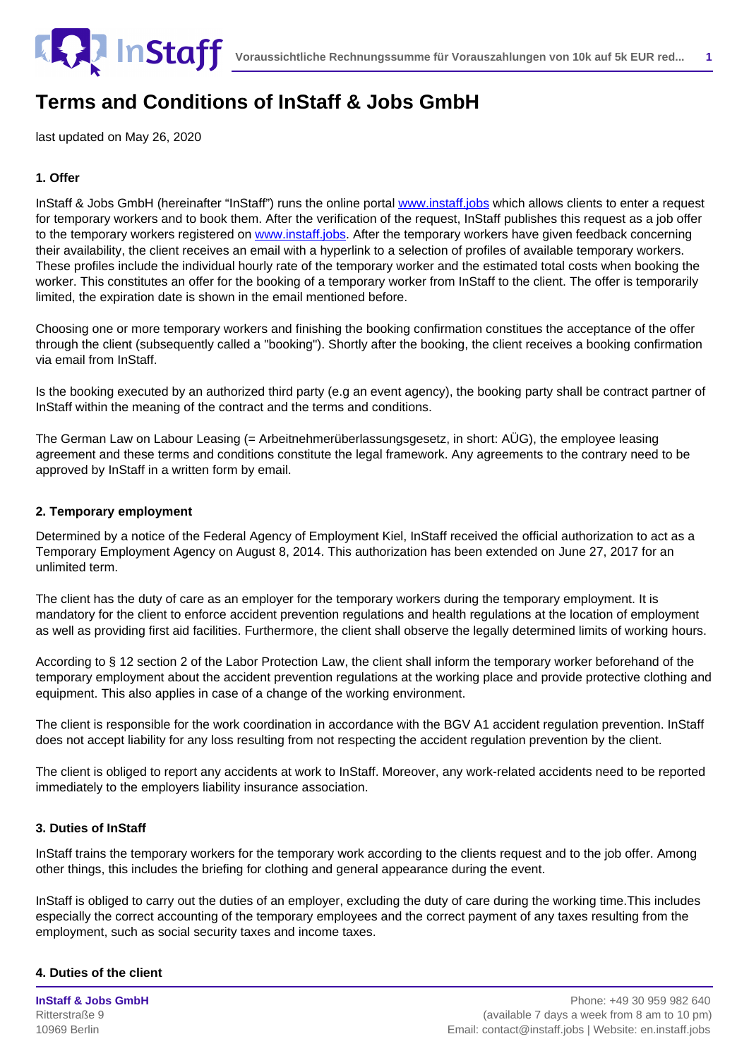

last updated on May 26, 2020

## **1. Offer**

InStaff & Jobs GmbH (hereinafter "InStaff") runs the online portal [www.instaff.jobs](https://www.instaff.jobs) which allows clients to enter a request for temporary workers and to book them. After the verification of the request, InStaff publishes this request as a job offer to the temporary workers registered on [www.instaff.jobs](https://www.instaff.jobs). After the temporary workers have given feedback concerning their availability, the client receives an email with a hyperlink to a selection of profiles of available temporary workers. These profiles include the individual hourly rate of the temporary worker and the estimated total costs when booking the worker. This constitutes an offer for the booking of a temporary worker from InStaff to the client. The offer is temporarily limited, the expiration date is shown in the email mentioned before.

Choosing one or more temporary workers and finishing the booking confirmation constitues the acceptance of the offer through the client (subsequently called a "booking"). Shortly after the booking, the client receives a booking confirmation via email from InStaff.

Is the booking executed by an authorized third party (e.g an event agency), the booking party shall be contract partner of InStaff within the meaning of the contract and the terms and conditions.

The German Law on Labour Leasing (= Arbeitnehmerüberlassungsgesetz, in short: AÜG), the employee leasing agreement and these terms and conditions constitute the legal framework. Any agreements to the contrary need to be approved by InStaff in a written form by email.

### **2. Temporary employment**

Determined by a notice of the Federal Agency of Employment Kiel, InStaff received the official authorization to act as a Temporary Employment Agency on August 8, 2014. This authorization has been extended on June 27, 2017 for an unlimited term.

The client has the duty of care as an employer for the temporary workers during the temporary employment. It is mandatory for the client to enforce accident prevention regulations and health regulations at the location of employment as well as providing first aid facilities. Furthermore, the client shall observe the legally determined limits of working hours.

According to § 12 section 2 of the Labor Protection Law, the client shall inform the temporary worker beforehand of the temporary employment about the accident prevention regulations at the working place and provide protective clothing and equipment. This also applies in case of a change of the working environment.

The client is responsible for the work coordination in accordance with the BGV A1 accident regulation prevention. InStaff does not accept liability for any loss resulting from not respecting the accident regulation prevention by the client.

The client is obliged to report any accidents at work to InStaff. Moreover, any work-related accidents need to be reported immediately to the employers liability insurance association.

## **3. Duties of InStaff**

InStaff trains the temporary workers for the temporary work according to the clients request and to the job offer. Among other things, this includes the briefing for clothing and general appearance during the event.

InStaff is obliged to carry out the duties of an employer, excluding the duty of care during the working time.This includes especially the correct accounting of the temporary employees and the correct payment of any taxes resulting from the employment, such as social security taxes and income taxes.

#### **4. Duties of the client**

**InStaff & Jobs GmbH** Ritterstraße 9 10969 Berlin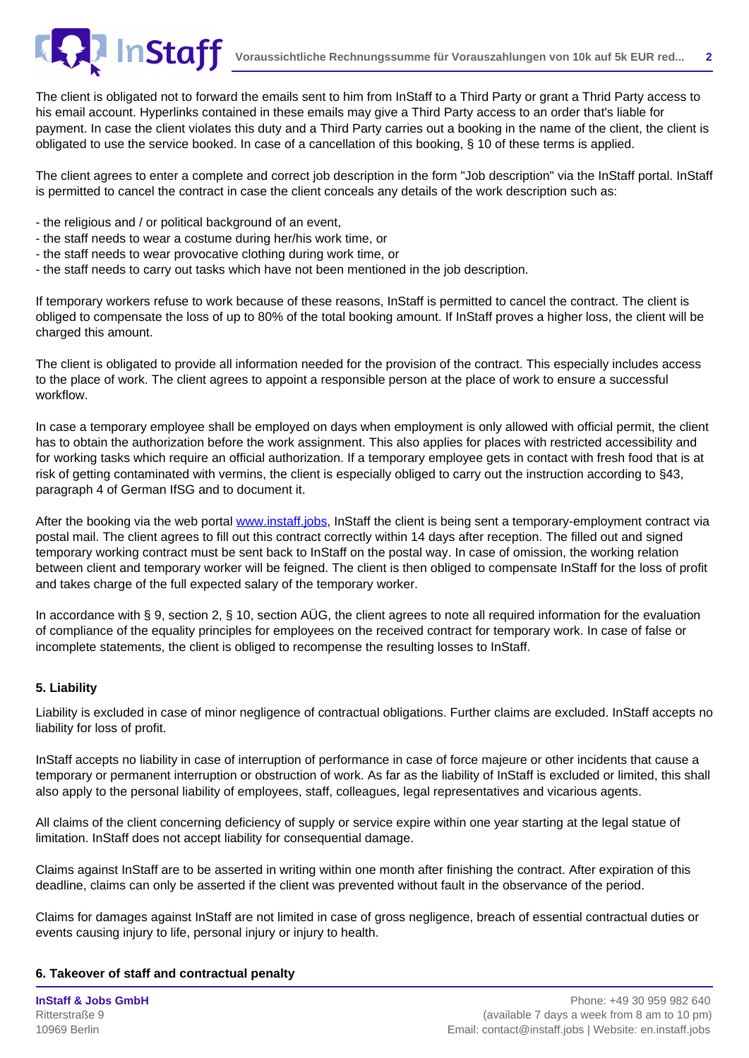

The client is obligated not to forward the emails sent to him from InStaff to a Third Party or grant a Thrid Party access to his email account. Hyperlinks contained in these emails may give a Third Party access to an order that's liable for payment. In case the client violates this duty and a Third Party carries out a booking in the name of the client, the client is obligated to use the service booked. In case of a cancellation of this booking, § 10 of these terms is applied.

The client agrees to enter a complete and correct job description in the form "Job description" via the InStaff portal. InStaff is permitted to cancel the contract in case the client conceals any details of the work description such as:

- the religious and / or political background of an event,
- the staff needs to wear a costume during her/his work time, or
- the staff needs to wear provocative clothing during work time, or
- the staff needs to carry out tasks which have not been mentioned in the job description.

If temporary workers refuse to work because of these reasons, InStaff is permitted to cancel the contract. The client is obliged to compensate the loss of up to 80% of the total booking amount. If InStaff proves a higher loss, the client will be charged this amount.

The client is obligated to provide all information needed for the provision of the contract. This especially includes access to the place of work. The client agrees to appoint a responsible person at the place of work to ensure a successful workflow.

In case a temporary employee shall be employed on days when employment is only allowed with official permit, the client has to obtain the authorization before the work assignment. This also applies for places with restricted accessibility and for working tasks which require an official authorization. If a temporary employee gets in contact with fresh food that is at risk of getting contaminated with vermins, the client is especially obliged to carry out the instruction according to §43, paragraph 4 of German IfSG and to document it.

After the booking via the web portal [www.instaff.jobs](https://www.instaff.jobs), InStaff the client is being sent a temporary-employment contract via postal mail. The client agrees to fill out this contract correctly within 14 days after reception. The filled out and signed temporary working contract must be sent back to InStaff on the postal way. In case of omission, the working relation between client and temporary worker will be feigned. The client is then obliged to compensate InStaff for the loss of profit and takes charge of the full expected salary of the temporary worker.

In accordance with § 9, section 2, § 10, section AÜG, the client agrees to note all required information for the evaluation of compliance of the equality principles for employees on the received contract for temporary work. In case of false or incomplete statements, the client is obliged to recompense the resulting losses to InStaff.

## **5. Liability**

Liability is excluded in case of minor negligence of contractual obligations. Further claims are excluded. InStaff accepts no liability for loss of profit.

InStaff accepts no liability in case of interruption of performance in case of force majeure or other incidents that cause a temporary or permanent interruption or obstruction of work. As far as the liability of InStaff is excluded or limited, this shall also apply to the personal liability of employees, staff, colleagues, legal representatives and vicarious agents.

All claims of the client concerning deficiency of supply or service expire within one year starting at the legal statue of limitation. InStaff does not accept liability for consequential damage.

Claims against InStaff are to be asserted in writing within one month after finishing the contract. After expiration of this deadline, claims can only be asserted if the client was prevented without fault in the observance of the period.

Claims for damages against InStaff are not limited in case of gross negligence, breach of essential contractual duties or events causing injury to life, personal injury or injury to health.

## **6. Takeover of staff and contractual penalty**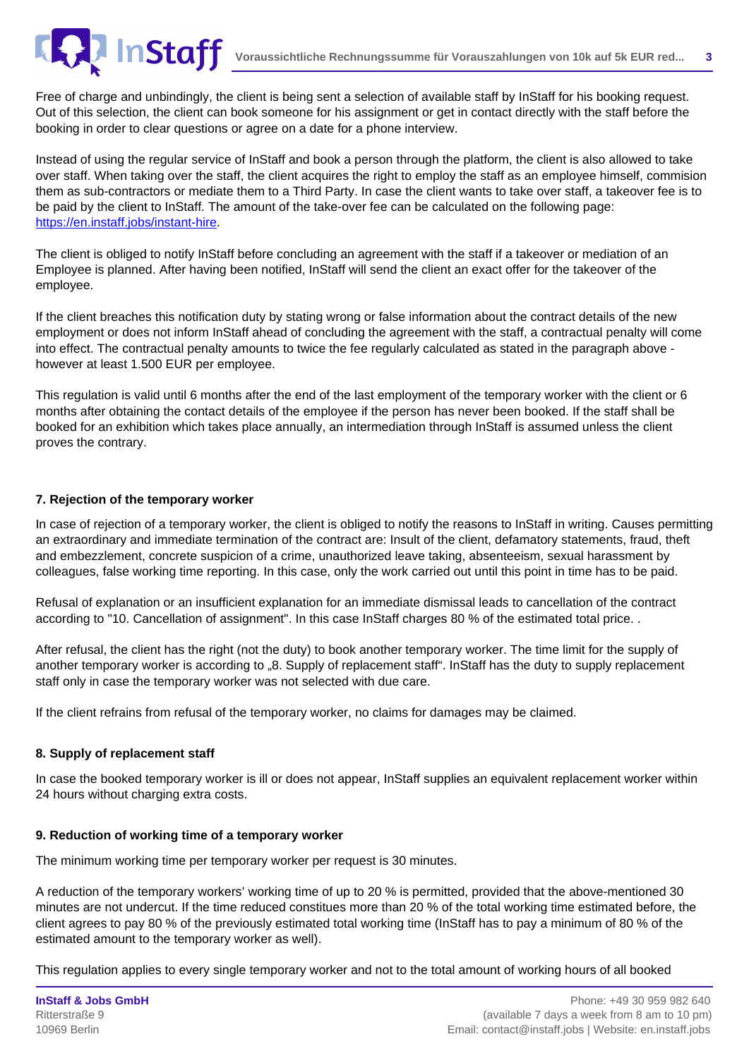Free of charge and unbindingly, the client is being sent a selection of available staff by InStaff for his booking request. Out of this selection, the client can book someone for his assignment or get in contact directly with the staff before the booking in order to clear questions or agree on a date for a phone interview.

Instead of using the regular service of InStaff and book a person through the platform, the client is also allowed to take over staff. When taking over the staff, the client acquires the right to employ the staff as an employee himself, commision them as sub-contractors or mediate them to a Third Party. In case the client wants to take over staff, a takeover fee is to be paid by the client to InStaff. The amount of the take-over fee can be calculated on the following page: [https://en.instaff.jobs/instant-hire](/instant-hire).

The client is obliged to notify InStaff before concluding an agreement with the staff if a takeover or mediation of an Employee is planned. After having been notified, InStaff will send the client an exact offer for the takeover of the employee.

If the client breaches this notification duty by stating wrong or false information about the contract details of the new employment or does not inform InStaff ahead of concluding the agreement with the staff, a contractual penalty will come into effect. The contractual penalty amounts to twice the fee regularly calculated as stated in the paragraph above however at least 1.500 EUR per employee.

This regulation is valid until 6 months after the end of the last employment of the temporary worker with the client or 6 months after obtaining the contact details of the employee if the person has never been booked. If the staff shall be booked for an exhibition which takes place annually, an intermediation through InStaff is assumed unless the client proves the contrary.

# **7. Rejection of the temporary worker**

In case of rejection of a temporary worker, the client is obliged to notify the reasons to InStaff in writing. Causes permitting an extraordinary and immediate termination of the contract are: Insult of the client, defamatory statements, fraud, theft and embezzlement, concrete suspicion of a crime, unauthorized leave taking, absenteeism, sexual harassment by colleagues, false working time reporting. In this case, only the work carried out until this point in time has to be paid.

Refusal of explanation or an insufficient explanation for an immediate dismissal leads to cancellation of the contract according to "10. Cancellation of assignment". In this case InStaff charges 80 % of the estimated total price. .

After refusal, the client has the right (not the duty) to book another temporary worker. The time limit for the supply of another temporary worker is according to "8. Supply of replacement staff". InStaff has the duty to supply replacement staff only in case the temporary worker was not selected with due care.

If the client refrains from refusal of the temporary worker, no claims for damages may be claimed.

# **8. Supply of replacement staff**

In case the booked temporary worker is ill or does not appear, InStaff supplies an equivalent replacement worker within 24 hours without charging extra costs.

# **9. Reduction of working time of a temporary worker**

The minimum working time per temporary worker per request is 30 minutes.

A reduction of the temporary workers' working time of up to 20 % is permitted, provided that the above-mentioned 30 minutes are not undercut. If the time reduced constitues more than 20 % of the total working time estimated before, the client agrees to pay 80 % of the previously estimated total working time (InStaff has to pay a minimum of 80 % of the estimated amount to the temporary worker as well).

This regulation applies to every single temporary worker and not to the total amount of working hours of all booked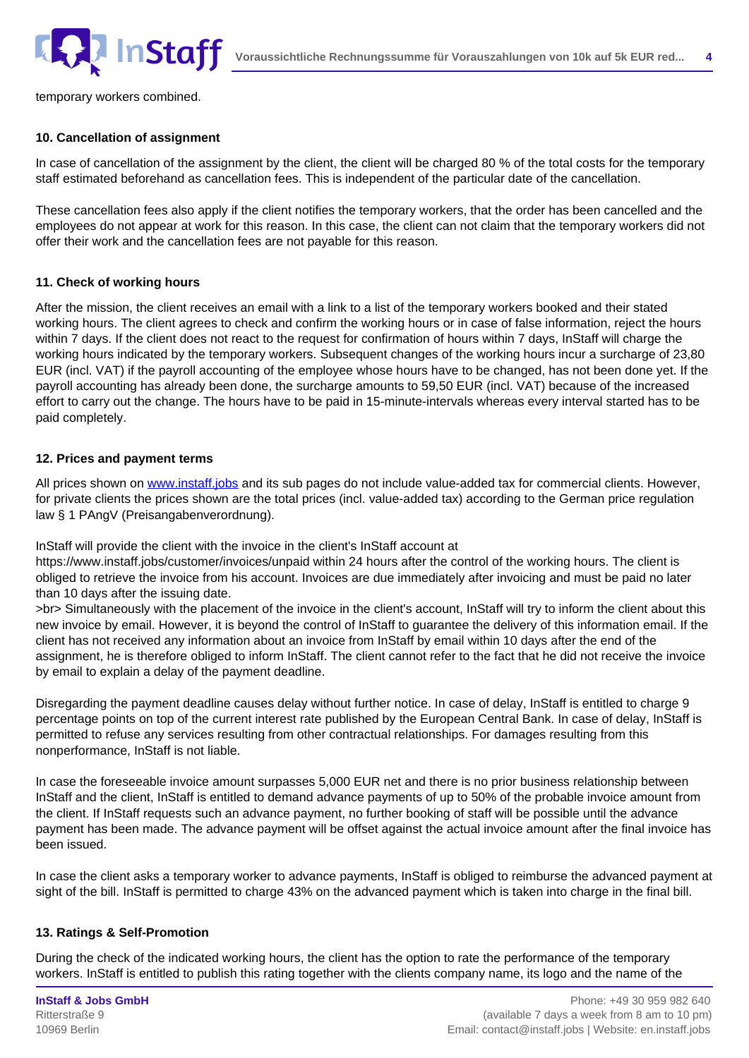

temporary workers combined.

#### **10. Cancellation of assignment**

In case of cancellation of the assignment by the client, the client will be charged 80 % of the total costs for the temporary staff estimated beforehand as cancellation fees. This is independent of the particular date of the cancellation.

These cancellation fees also apply if the client notifies the temporary workers, that the order has been cancelled and the employees do not appear at work for this reason. In this case, the client can not claim that the temporary workers did not offer their work and the cancellation fees are not payable for this reason.

### **11. Check of working hours**

After the mission, the client receives an email with a link to a list of the temporary workers booked and their stated working hours. The client agrees to check and confirm the working hours or in case of false information, reject the hours within 7 days. If the client does not react to the request for confirmation of hours within 7 days, InStaff will charge the working hours indicated by the temporary workers. Subsequent changes of the working hours incur a surcharge of 23,80 EUR (incl. VAT) if the payroll accounting of the employee whose hours have to be changed, has not been done yet. If the payroll accounting has already been done, the surcharge amounts to 59,50 EUR (incl. VAT) because of the increased effort to carry out the change. The hours have to be paid in 15-minute-intervals whereas every interval started has to be paid completely.

### **12. Prices and payment terms**

All prices shown on [www.instaff.jobs](https://www.instaff.jobs) and its sub pages do not include value-added tax for commercial clients. However, for private clients the prices shown are the total prices (incl. value-added tax) according to the German price regulation law § 1 PAngV (Preisangabenverordnung).

InStaff will provide the client with the invoice in the client's InStaff account at

https://www.instaff.jobs/customer/invoices/unpaid within 24 hours after the control of the working hours. The client is obliged to retrieve the invoice from his account. Invoices are due immediately after invoicing and must be paid no later than 10 days after the issuing date.

>br> Simultaneously with the placement of the invoice in the client's account, InStaff will try to inform the client about this new invoice by email. However, it is beyond the control of InStaff to guarantee the delivery of this information email. If the client has not received any information about an invoice from InStaff by email within 10 days after the end of the assignment, he is therefore obliged to inform InStaff. The client cannot refer to the fact that he did not receive the invoice by email to explain a delay of the payment deadline.

Disregarding the payment deadline causes delay without further notice. In case of delay, InStaff is entitled to charge 9 percentage points on top of the current interest rate published by the European Central Bank. In case of delay, InStaff is permitted to refuse any services resulting from other contractual relationships. For damages resulting from this nonperformance, InStaff is not liable.

In case the foreseeable invoice amount surpasses 5,000 EUR net and there is no prior business relationship between InStaff and the client, InStaff is entitled to demand advance payments of up to 50% of the probable invoice amount from the client. If InStaff requests such an advance payment, no further booking of staff will be possible until the advance payment has been made. The advance payment will be offset against the actual invoice amount after the final invoice has been issued.

In case the client asks a temporary worker to advance payments, InStaff is obliged to reimburse the advanced payment at sight of the bill. InStaff is permitted to charge 43% on the advanced payment which is taken into charge in the final bill.

## **13. Ratings & Self-Promotion**

During the check of the indicated working hours, the client has the option to rate the performance of the temporary workers. InStaff is entitled to publish this rating together with the clients company name, its logo and the name of the